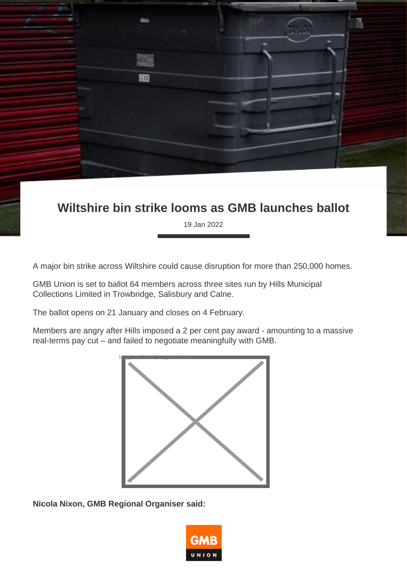**Wiltshire bin strike looms as GMB launches ballot**

19 Jan 2022

A major bin strike across Wiltshire could cause disruption for more than 250,000 homes.

GMB Union is set to ballot 64 members across three sites run by Hills Municipal Collections Limited in Trowbridge, Salisbury and Calne.

The ballot opens on 21 January and closes on 4 February.

 $(6)$ 

Members are angry after Hills imposed a 2 per cent pay award - amounting to a massive real-terms pay cut – and failed to negotiate meaningfully with GMB.



**Nicola Nixon, GMB Regional Organiser said:**